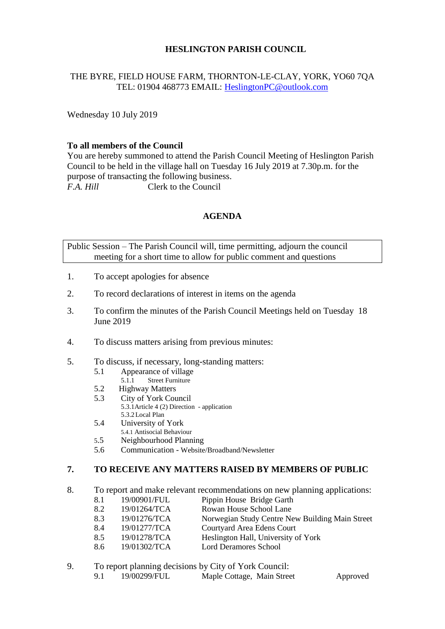### **HESLINGTON PARISH COUNCIL**

# THE BYRE, FIELD HOUSE FARM, THORNTON-LE-CLAY, YORK, YO60 7QA TEL: 01904 468773 EMAIL: [HeslingtonPC@outlook.com](mailto:HeslingtonPC@outlook.com)

Wednesday 10 July 2019

### **To all members of the Council**

You are hereby summoned to attend the Parish Council Meeting of Heslington Parish Council to be held in the village hall on Tuesday 16 July 2019 at 7.30p.m. for the purpose of transacting the following business. *F.A. Hill* Clerk to the Council

# **AGENDA**

Public Session – The Parish Council will, time permitting, adjourn the council meeting for a short time to allow for public comment and questions

- 1. To accept apologies for absence
- 2. To record declarations of interest in items on the agenda
- 3. To confirm the minutes of the Parish Council Meetings held on Tuesday 18 June 2019
- 4. To discuss matters arising from previous minutes:
- 5. To discuss, if necessary, long-standing matters:
	- 5.1 Appearance of village<br>5.1.1 Street Furniture
		- Street Furniture
	- 5.2 Highway Matters
	- 5.3 City of York Council
		- 5.3.1Article 4 (2) Direction application 5.3.2Local Plan
	- 5.4 University of York
	- 5.4.1 Antisocial Behaviour
	- 5.5 Neighbourhood Planning
	- 5.6 Communication Website/Broadband/Newsletter

#### **7. TO RECEIVE ANY MATTERS RAISED BY MEMBERS OF PUBLIC**

- 8. To report and make relevant recommendations on new planning applications:
	- 8.1 19/00901/FUL Pippin House Bridge Garth
	- 8.2 19/01264/TCA Rowan House School Lane
	- 8.3 19/01276/TCA Norwegian Study Centre New Building Main Street
	- 8.4 19/01277/TCA Courtyard Area Edens Court
	- 8.5 19/01278/TCA Heslington Hall, University of York
	- 8.6 19/01302/TCA Lord Deramores School
- 9. To report planning decisions by City of York Council:
	- 9.1 19/00299/FUL Maple Cottage, Main Street Approved